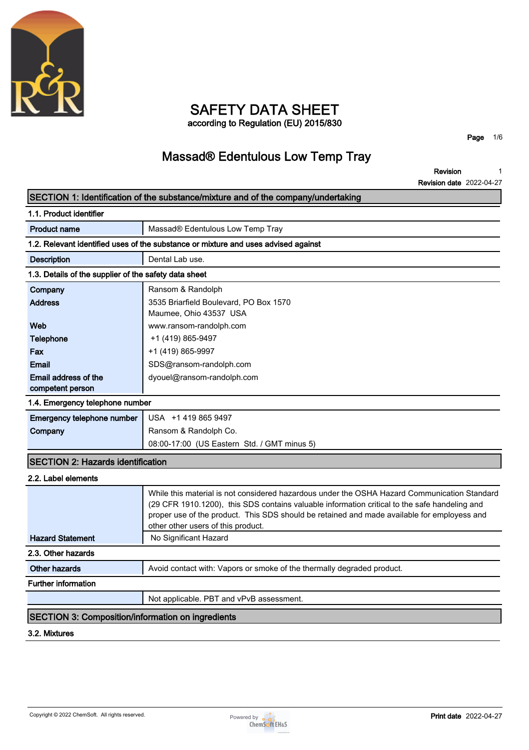

## **SAFETY DATA SHEET according to Regulation (EU) 2015/830**

**Page 1/6**

# **Massad® Edentulous Low Temp Tray**

**Revision Revision date 2022-04-27 1**

## **SECTION 1: Identification of the substance/mixture and of the company/undertaking 1.1. Product identifier Product name Massad®** Edentulous Low Temp Tray **1.2. Relevant identified uses of the substance or mixture and uses advised against Description Dental Lab use. 1.3. Details of the supplier of the safety data sheet Company Ransom & Randolph Address 3535 Briarfield Boulevard, PO Box 1570 Maumee, Ohio 43537 USA Web www.ransom-randolph.com Telephone**  $+1 (419) 865-9497$ **Fax +1 (419) 865-9997 Email SDS@ransom-randolph.com Email address of the competent person dyouel@ransom-randolph.com 1.4. Emergency telephone number Emergency telephone number USA +1 419 865 9497 Company Ransom & Randolph Co. 08:00-17:00 (US Eastern Std. / GMT minus 5) SECTION 2: Hazards identification 2.2. Label elements While this material is not considered hazardous under the OSHA Hazard Communication Standard (29 CFR 1910.1200), this SDS contains valuable information critical to the safe handeling and proper use of the product. This SDS should be retained and made available for employess and other other users of this product. Hazard Statement** No Significant Hazard **2.3. Other hazards Other hazards Avoid contact with: Vapors or smoke of the thermally degraded product. Further information Not applicable. PBT and vPvB assessment. SECTION 3: Composition/information on ingredients 3.2. Mixtures**

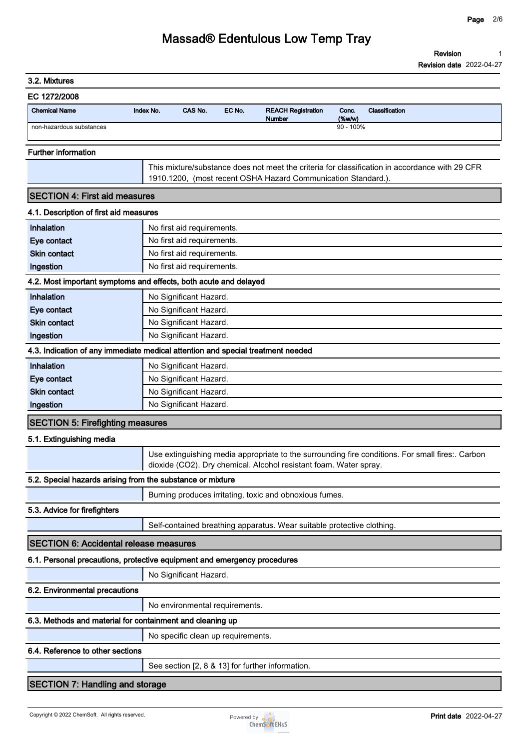| 3.2. Mixtures                                 |                                                                                                                                                                       |
|-----------------------------------------------|-----------------------------------------------------------------------------------------------------------------------------------------------------------------------|
| EC 1272/2008                                  |                                                                                                                                                                       |
| <b>Chemical Name</b>                          | CAS No.<br>EC No.<br>Conc.<br>Index No.<br><b>REACH Registration</b><br>Classification<br>(%<br>Number                                                                |
| non-hazardous substances                      | $90 - 100\%$                                                                                                                                                          |
| <b>Further information</b>                    |                                                                                                                                                                       |
|                                               | This mixture/substance does not meet the criteria for classification in accordance with 29 CFR<br>1910.1200, (most recent OSHA Hazard Communication Standard.).       |
| <b>SECTION 4: First aid measures</b>          |                                                                                                                                                                       |
| 4.1. Description of first aid measures        |                                                                                                                                                                       |
| Inhalation                                    | No first aid requirements.                                                                                                                                            |
| Eye contact                                   | No first aid requirements.                                                                                                                                            |
| <b>Skin contact</b>                           | No first aid requirements.                                                                                                                                            |
| Ingestion                                     | No first aid requirements.                                                                                                                                            |
|                                               | 4.2. Most important symptoms and effects, both acute and delayed                                                                                                      |
| Inhalation                                    | No Significant Hazard.                                                                                                                                                |
| Eye contact                                   | No Significant Hazard.                                                                                                                                                |
| <b>Skin contact</b>                           | No Significant Hazard.                                                                                                                                                |
| Ingestion                                     | No Significant Hazard.                                                                                                                                                |
|                                               | 4.3. Indication of any immediate medical attention and special treatment needed                                                                                       |
| Inhalation                                    | No Significant Hazard.                                                                                                                                                |
| Eye contact                                   | No Significant Hazard.                                                                                                                                                |
| <b>Skin contact</b>                           | No Significant Hazard.                                                                                                                                                |
| Ingestion                                     | No Significant Hazard.                                                                                                                                                |
| <b>SECTION 5: Firefighting measures</b>       |                                                                                                                                                                       |
| 5.1. Extinguishing media                      |                                                                                                                                                                       |
|                                               | Use extinguishing media appropriate to the surrounding fire conditions. For small fires:. Carbon<br>dioxide (CO2). Dry chemical. Alcohol resistant foam. Water spray. |
|                                               | 5.2. Special hazards arising from the substance or mixture                                                                                                            |
|                                               | Burning produces irritating, toxic and obnoxious fumes.                                                                                                               |
| 5.3. Advice for firefighters                  |                                                                                                                                                                       |
|                                               | Self-contained breathing apparatus. Wear suitable protective clothing.                                                                                                |
| <b>SECTION 6: Accidental release measures</b> |                                                                                                                                                                       |
|                                               | 6.1. Personal precautions, protective equipment and emergency procedures                                                                                              |
|                                               | No Significant Hazard.                                                                                                                                                |
| 6.2. Environmental precautions                |                                                                                                                                                                       |
|                                               | No environmental requirements.                                                                                                                                        |
|                                               | 6.3. Methods and material for containment and cleaning up                                                                                                             |
|                                               | No specific clean up requirements.                                                                                                                                    |
| 6.4. Reference to other sections              |                                                                                                                                                                       |
|                                               | See section [2, 8 & 13] for further information.                                                                                                                      |
| <b>SECTION 7: Handling and storage</b>        |                                                                                                                                                                       |

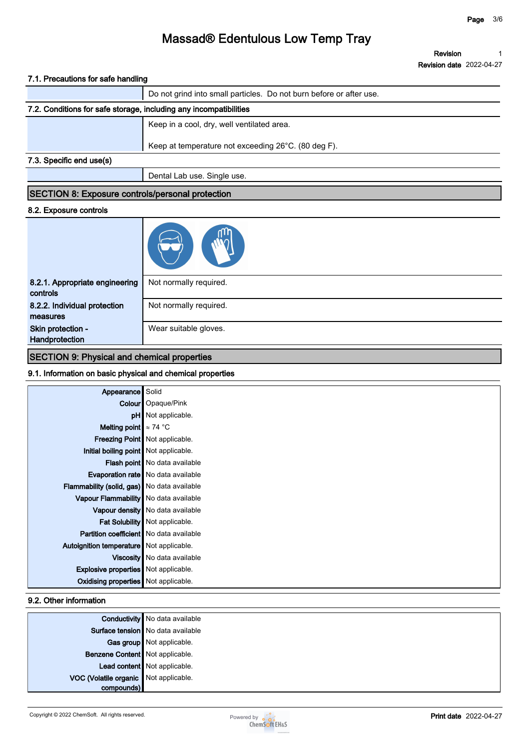**Revision Revision date 2022-04-27 1**

### **7.1. Precautions for safe handling**

|                                                                   | Do not grind into small particles. Do not burn before or after use. |
|-------------------------------------------------------------------|---------------------------------------------------------------------|
| 7.2. Conditions for safe storage, including any incompatibilities |                                                                     |
|                                                                   | Keep in a cool, dry, well ventilated area.                          |
|                                                                   | Keep at temperature not exceeding 26°C. (80 deg F).                 |
| 7.3. Specific end use(s)                                          |                                                                     |
|                                                                   | Dental Lab use. Single use.                                         |

### **SECTION 8: Exposure controls/personal protection**

#### **8.2. Exposure controls**

| 8.2.1. Appropriate engineering<br>controls | Not normally required. |
|--------------------------------------------|------------------------|
| 8.2.2. Individual protection<br>measures   | Not normally required. |
| Skin protection -<br>Handprotection        | Wear suitable gloves.  |

## **SECTION 9: Physical and chemical properties**

### **9.1. Information on basic physical and chemical properties**

| Appearance                                         | Solid                                     |
|----------------------------------------------------|-------------------------------------------|
|                                                    | <b>Colour</b>   Opaque/Pink               |
|                                                    | pH   Not applicable.                      |
| Melting point $\approx 74$ °C                      |                                           |
|                                                    | <b>Freezing Point</b> Not applicable.     |
| Initial boiling point   Not applicable.            |                                           |
|                                                    | Flash point   No data available           |
|                                                    | <b>Evaporation rate</b> No data available |
| <b>Flammability (solid, gas)</b> No data available |                                           |
| Vapour Flammability   No data available            |                                           |
|                                                    | Vapour density   No data available        |
|                                                    | Fat Solubility   Not applicable.          |
| <b>Partition coefficient</b> No data available     |                                           |
| Autoignition temperature Not applicable.           |                                           |
|                                                    | Viscosity   No data available             |
| <b>Explosive properties</b> Not applicable.        |                                           |
| <b>Oxidising properties</b> Not applicable.        |                                           |

### **9.2. Other information**

|                                       | <b>Conductivity</b> No data available |
|---------------------------------------|---------------------------------------|
|                                       | Surface tension   No data available   |
|                                       | Gas group Not applicable.             |
| Benzene Content Not applicable.       |                                       |
|                                       | Lead content Not applicable.          |
| VOC (Volatile organic Not applicable. |                                       |
| compounds)                            |                                       |

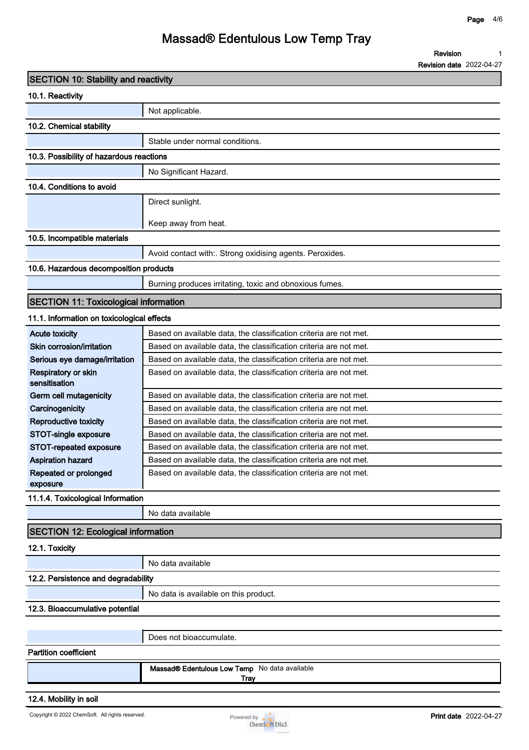**Revision 1**

**Revision date 2022-04-27**

| <b>SECTION 10: Stability and reactivity</b>  |                                                                                                                                        |
|----------------------------------------------|----------------------------------------------------------------------------------------------------------------------------------------|
| 10.1. Reactivity                             |                                                                                                                                        |
|                                              | Not applicable.                                                                                                                        |
| 10.2. Chemical stability                     |                                                                                                                                        |
|                                              | Stable under normal conditions.                                                                                                        |
| 10.3. Possibility of hazardous reactions     |                                                                                                                                        |
|                                              | No Significant Hazard.                                                                                                                 |
| 10.4. Conditions to avoid                    |                                                                                                                                        |
|                                              | Direct sunlight.                                                                                                                       |
|                                              |                                                                                                                                        |
|                                              | Keep away from heat.                                                                                                                   |
| 10.5. Incompatible materials                 |                                                                                                                                        |
|                                              | Avoid contact with:. Strong oxidising agents. Peroxides.                                                                               |
| 10.6. Hazardous decomposition products       |                                                                                                                                        |
|                                              | Burning produces irritating, toxic and obnoxious fumes.                                                                                |
| <b>SECTION 11: Toxicological information</b> |                                                                                                                                        |
| 11.1. Information on toxicological effects   |                                                                                                                                        |
| <b>Acute toxicity</b>                        | Based on available data, the classification criteria are not met.                                                                      |
| Skin corrosion/irritation                    | Based on available data, the classification criteria are not met.                                                                      |
| Serious eye damage/irritation                | Based on available data, the classification criteria are not met.                                                                      |
| Respiratory or skin<br>sensitisation         | Based on available data, the classification criteria are not met.                                                                      |
| Germ cell mutagenicity                       | Based on available data, the classification criteria are not met.                                                                      |
| Carcinogenicity                              | Based on available data, the classification criteria are not met.                                                                      |
| <b>Reproductive toxicity</b>                 | Based on available data, the classification criteria are not met.                                                                      |
| STOT-single exposure                         | Based on available data, the classification criteria are not met.                                                                      |
| STOT-repeated exposure                       | Based on available data, the classification criteria are not met.                                                                      |
| <b>Aspiration hazard</b>                     | Based on available data, the classification criteria are not met.<br>Based on available data, the classification criteria are not met. |
| Repeated or prolonged<br>exposure            |                                                                                                                                        |
| 11.1.4. Toxicological Information            |                                                                                                                                        |
|                                              | No data available                                                                                                                      |
| <b>SECTION 12: Ecological information</b>    |                                                                                                                                        |
| 12.1. Toxicity                               |                                                                                                                                        |
|                                              | No data available                                                                                                                      |
| 12.2. Persistence and degradability          |                                                                                                                                        |
|                                              | No data is available on this product.                                                                                                  |
| 12.3. Bioaccumulative potential              |                                                                                                                                        |
|                                              |                                                                                                                                        |
|                                              | Does not bioaccumulate.                                                                                                                |
| <b>Partition coefficient</b>                 |                                                                                                                                        |
|                                              | Massad® Edentulous Low Temp No data available                                                                                          |
|                                              | <b>Tray</b>                                                                                                                            |
| 12.4. Mobility in soil                       |                                                                                                                                        |

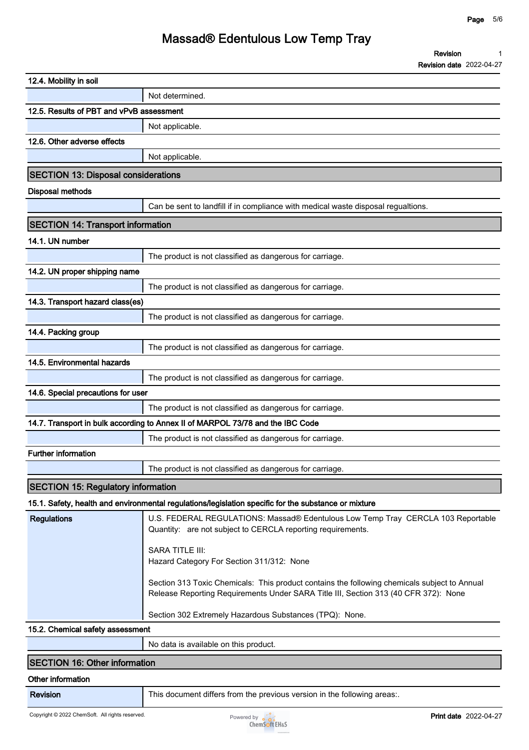| 12.4. Mobility in soil                     |                                                                                                                                                                                     |
|--------------------------------------------|-------------------------------------------------------------------------------------------------------------------------------------------------------------------------------------|
|                                            | Not determined.                                                                                                                                                                     |
| 12.5. Results of PBT and vPvB assessment   |                                                                                                                                                                                     |
|                                            | Not applicable.                                                                                                                                                                     |
| 12.6. Other adverse effects                |                                                                                                                                                                                     |
|                                            | Not applicable.                                                                                                                                                                     |
| <b>SECTION 13: Disposal considerations</b> |                                                                                                                                                                                     |
| <b>Disposal methods</b>                    |                                                                                                                                                                                     |
|                                            | Can be sent to landfill if in compliance with medical waste disposal regualtions.                                                                                                   |
| <b>SECTION 14: Transport information</b>   |                                                                                                                                                                                     |
| 14.1. UN number                            |                                                                                                                                                                                     |
|                                            | The product is not classified as dangerous for carriage.                                                                                                                            |
| 14.2. UN proper shipping name              |                                                                                                                                                                                     |
|                                            | The product is not classified as dangerous for carriage.                                                                                                                            |
| 14.3. Transport hazard class(es)           |                                                                                                                                                                                     |
|                                            | The product is not classified as dangerous for carriage.                                                                                                                            |
| 14.4. Packing group                        |                                                                                                                                                                                     |
|                                            | The product is not classified as dangerous for carriage.                                                                                                                            |
| 14.5. Environmental hazards                |                                                                                                                                                                                     |
|                                            | The product is not classified as dangerous for carriage.                                                                                                                            |
| 14.6. Special precautions for user         |                                                                                                                                                                                     |
|                                            | The product is not classified as dangerous for carriage.                                                                                                                            |
|                                            | 14.7. Transport in bulk according to Annex II of MARPOL 73/78 and the IBC Code                                                                                                      |
|                                            | The product is not classified as dangerous for carriage.                                                                                                                            |
| <b>Further information</b>                 |                                                                                                                                                                                     |
|                                            | The product is not classified as dangerous for carriage.                                                                                                                            |
| <b>SECTION 15: Regulatory information</b>  |                                                                                                                                                                                     |
|                                            | 15.1. Safety, health and environmental regulations/legislation specific for the substance or mixture                                                                                |
| <b>Regulations</b>                         | U.S. FEDERAL REGULATIONS: Massad® Edentulous Low Temp Tray CERCLA 103 Reportable<br>Quantity: are not subject to CERCLA reporting requirements.                                     |
|                                            | <b>SARA TITLE III:</b><br>Hazard Category For Section 311/312: None                                                                                                                 |
|                                            | Section 313 Toxic Chemicals: This product contains the following chemicals subject to Annual<br>Release Reporting Requirements Under SARA Title III, Section 313 (40 CFR 372): None |
|                                            | Section 302 Extremely Hazardous Substances (TPQ): None.                                                                                                                             |
| 15.2. Chemical safety assessment           |                                                                                                                                                                                     |
|                                            | No data is available on this product.                                                                                                                                               |
|                                            |                                                                                                                                                                                     |

### **SECTION 16: Other information**

### **Other information**

**Revision This document differs from the previous version in the following areas:.**